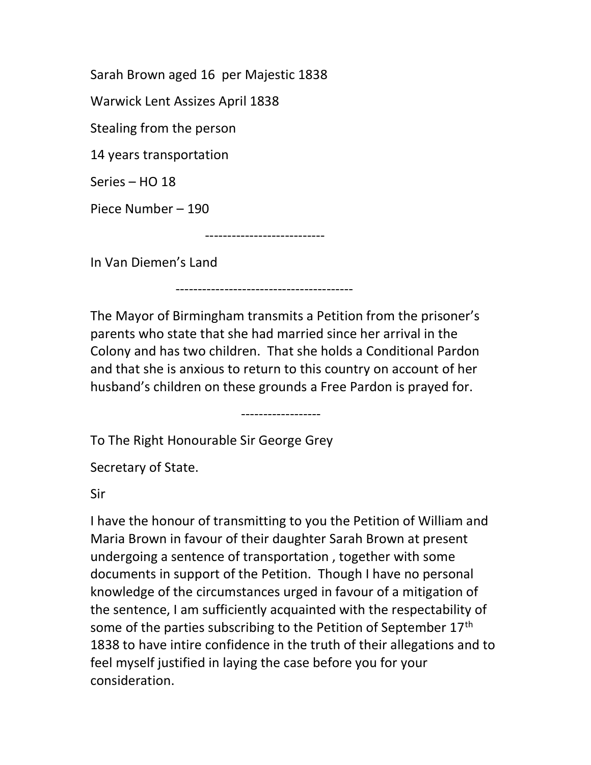Sarah Brown aged 16 per Majestic 1838

Warwick Lent Assizes April 1838

Stealing from the person

14 years transportation

Series – HO 18

Piece Number – 190

---------------------------

----------------------------------------

In Van Diemen's Land

The Mayor of Birmingham transmits a Petition from the prisoner's parents who state that she had married since her arrival in the Colony and has two children. That she holds a Conditional Pardon and that she is anxious to return to this country on account of her husband's children on these grounds a Free Pardon is prayed for.

------------------

To The Right Honourable Sir George Grey

Secretary of State.

Sir

I have the honour of transmitting to you the Petition of William and Maria Brown in favour of their daughter Sarah Brown at present undergoing a sentence of transportation , together with some documents in support of the Petition. Though I have no personal knowledge of the circumstances urged in favour of a mitigation of the sentence, I am sufficiently acquainted with the respectability of some of the parties subscribing to the Petition of September 17<sup>th</sup> 1838 to have intire confidence in the truth of their allegations and to feel myself justified in laying the case before you for your consideration.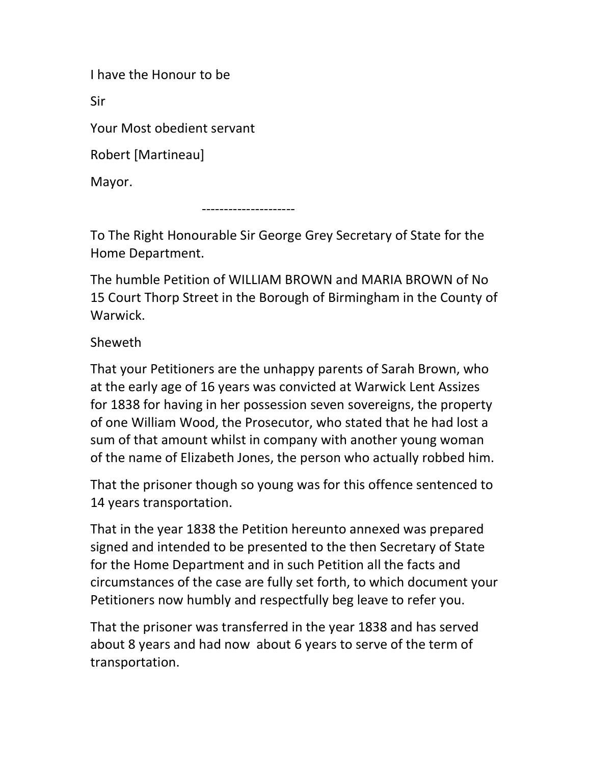I have the Honour to be

Sir

Your Most obedient servant

Robert [Martineau]

Mayor.

---------------------

To The Right Honourable Sir George Grey Secretary of State for the Home Department.

The humble Petition of WILLIAM BROWN and MARIA BROWN of No 15 Court Thorp Street in the Borough of Birmingham in the County of Warwick.

Sheweth

That your Petitioners are the unhappy parents of Sarah Brown, who at the early age of 16 years was convicted at Warwick Lent Assizes for 1838 for having in her possession seven sovereigns, the property of one William Wood, the Prosecutor, who stated that he had lost a sum of that amount whilst in company with another young woman of the name of Elizabeth Jones, the person who actually robbed him.

That the prisoner though so young was for this offence sentenced to 14 years transportation.

That in the year 1838 the Petition hereunto annexed was prepared signed and intended to be presented to the then Secretary of State for the Home Department and in such Petition all the facts and circumstances of the case are fully set forth, to which document your Petitioners now humbly and respectfully beg leave to refer you.

That the prisoner was transferred in the year 1838 and has served about 8 years and had now about 6 years to serve of the term of transportation.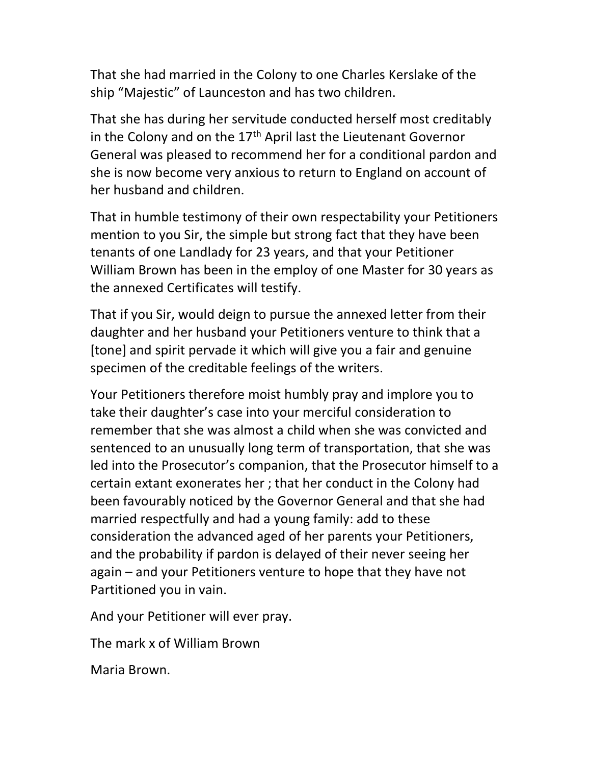That she had married in the Colony to one Charles Kerslake of the ship "Majestic" of Launceston and has two children.

That she has during her servitude conducted herself most creditably in the Colony and on the  $17<sup>th</sup>$  April last the Lieutenant Governor General was pleased to recommend her for a conditional pardon and she is now become very anxious to return to England on account of her husband and children.

That in humble testimony of their own respectability your Petitioners mention to you Sir, the simple but strong fact that they have been tenants of one Landlady for 23 years, and that your Petitioner William Brown has been in the employ of one Master for 30 years as the annexed Certificates will testify.

That if you Sir, would deign to pursue the annexed letter from their daughter and her husband your Petitioners venture to think that a [tone] and spirit pervade it which will give you a fair and genuine specimen of the creditable feelings of the writers.

Your Petitioners therefore moist humbly pray and implore you to take their daughter's case into your merciful consideration to remember that she was almost a child when she was convicted and sentenced to an unusually long term of transportation, that she was led into the Prosecutor's companion, that the Prosecutor himself to a certain extant exonerates her ; that her conduct in the Colony had been favourably noticed by the Governor General and that she had married respectfully and had a young family: add to these consideration the advanced aged of her parents your Petitioners, and the probability if pardon is delayed of their never seeing her again – and your Petitioners venture to hope that they have not Partitioned you in vain.

And your Petitioner will ever pray.

The mark x of William Brown

Maria Brown.